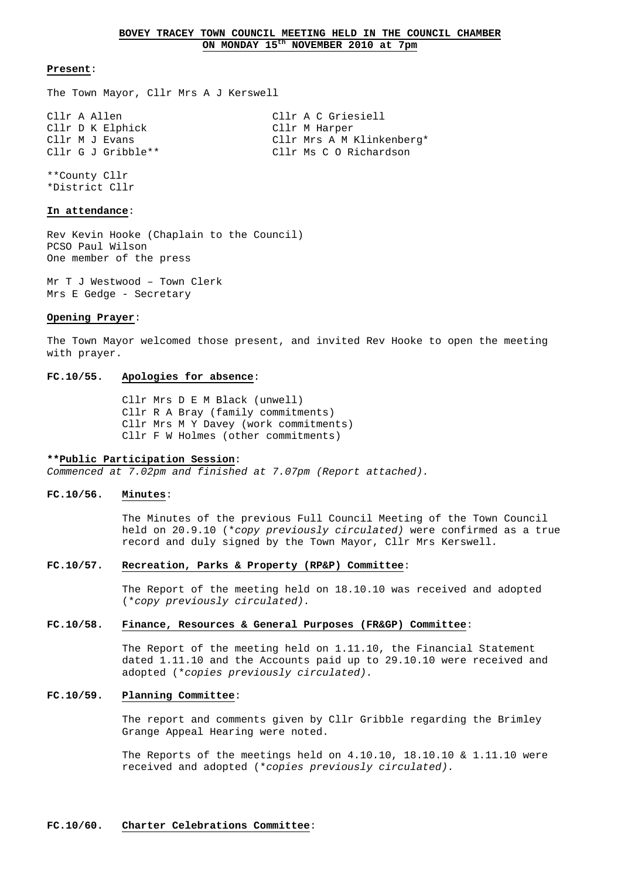#### **Present**:

The Town Mayor, Cllr Mrs A J Kerswell

Cllr A Allen Cllr A C Griesiell Cllr D K Elphick Cllr M Harper Cllr M J Evans The Cllr Mrs A M Klinkenberg\* Cllr G J Gribble\*\* Cllr Ms C O Richardson

\*\*County Cllr \*District Cllr

# **In attendance**:

Rev Kevin Hooke (Chaplain to the Council) PCSO Paul Wilson One member of the press

Mr T J Westwood – Town Clerk Mrs E Gedge - Secretary

#### **Opening Prayer**:

The Town Mayor welcomed those present, and invited Rev Hooke to open the meeting with prayer.

# **FC.10/55. Apologies for absence**:

 Cllr Mrs D E M Black (unwell) Cllr R A Bray (family commitments) Cllr Mrs M Y Davey (work commitments) Cllr F W Holmes (other commitments)

#### **\*\*Public Participation Session**:

Commenced at 7.02pm and finished at 7.07pm (Report attached).

#### **FC.10/56. Minutes**:

 The Minutes of the previous Full Council Meeting of the Town Council held on 20.9.10 (\*copy previously circulated) were confirmed as a true record and duly signed by the Town Mayor, Cllr Mrs Kerswell.

# **FC.10/57. Recreation, Parks & Property (RP&P) Committee**:

 The Report of the meeting held on 18.10.10 was received and adopted (\*copy previously circulated).

# **FC.10/58. Finance, Resources & General Purposes (FR&GP) Committee**:

 The Report of the meeting held on 1.11.10, the Financial Statement dated 1.11.10 and the Accounts paid up to 29.10.10 were received and adopted (\*copies previously circulated).

# **FC.10/59. Planning Committee**:

 The report and comments given by Cllr Gribble regarding the Brimley Grange Appeal Hearing were noted.

The Reports of the meetings held on  $4.10.10$ ,  $18.10.10$  &  $1.11.10$  were received and adopted (\*copies previously circulated).

#### **FC.10/60. Charter Celebrations Committee**: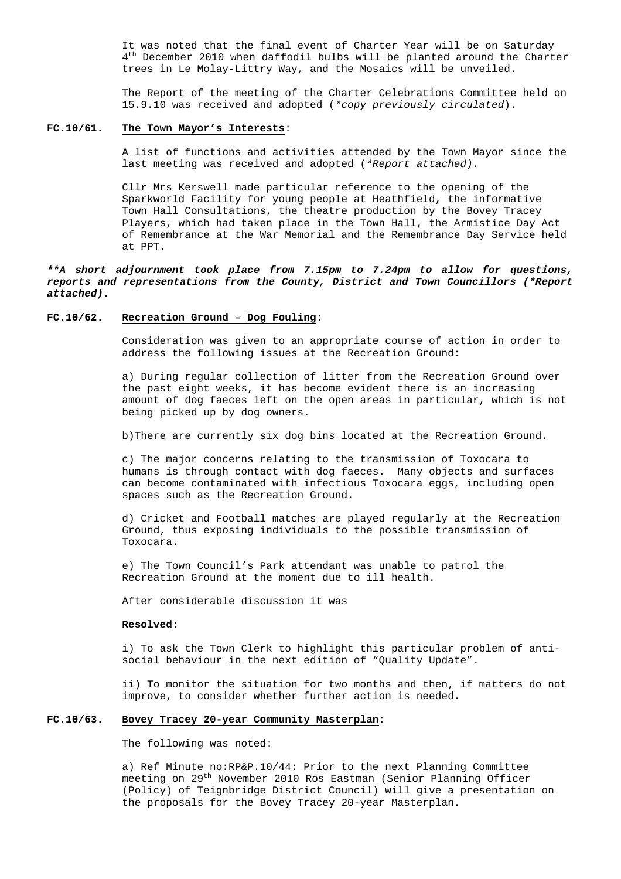It was noted that the final event of Charter Year will be on Saturday  $4<sup>th</sup>$  December 2010 when daffodil bulbs will be planted around the Charter trees in Le Molay-Littry Way, and the Mosaics will be unveiled.

 The Report of the meeting of the Charter Celebrations Committee held on 15.9.10 was received and adopted (\*copy previously circulated).

#### **FC.10/61. The Town Mayor's Interests**:

 A list of functions and activities attended by the Town Mayor since the last meeting was received and adopted (\*Report attached).

 Cllr Mrs Kerswell made particular reference to the opening of the Sparkworld Facility for young people at Heathfield, the informative Town Hall Consultations, the theatre production by the Bovey Tracey Players, which had taken place in the Town Hall, the Armistice Day Act of Remembrance at the War Memorial and the Remembrance Day Service held at PPT.

**\*\*A short adjournment took place from 7.15pm to 7.24pm to allow for questions, reports and representations from the County, District and Town Councillors (\*Report attached).**

# **FC.10/62. Recreation Ground – Dog Fouling**:

 Consideration was given to an appropriate course of action in order to address the following issues at the Recreation Ground:

 a) During regular collection of litter from the Recreation Ground over the past eight weeks, it has become evident there is an increasing amount of dog faeces left on the open areas in particular, which is not being picked up by dog owners.

b)There are currently six dog bins located at the Recreation Ground.

 c) The major concerns relating to the transmission of Toxocara to humans is through contact with dog faeces. Many objects and surfaces can become contaminated with infectious Toxocara eggs, including open spaces such as the Recreation Ground.

 d) Cricket and Football matches are played regularly at the Recreation Ground, thus exposing individuals to the possible transmission of Toxocara.

 e) The Town Council's Park attendant was unable to patrol the Recreation Ground at the moment due to ill health.

After considerable discussion it was

#### **Resolved**:

 i) To ask the Town Clerk to highlight this particular problem of anti social behaviour in the next edition of "Quality Update".

 ii) To monitor the situation for two months and then, if matters do not improve, to consider whether further action is needed.

#### **FC.10/63. Bovey Tracey 20-year Community Masterplan**:

The following was noted:

 a) Ref Minute no:RP&P.10/44: Prior to the next Planning Committee meeting on 29th November 2010 Ros Eastman (Senior Planning Officer (Policy) of Teignbridge District Council) will give a presentation on the proposals for the Bovey Tracey 20-year Masterplan.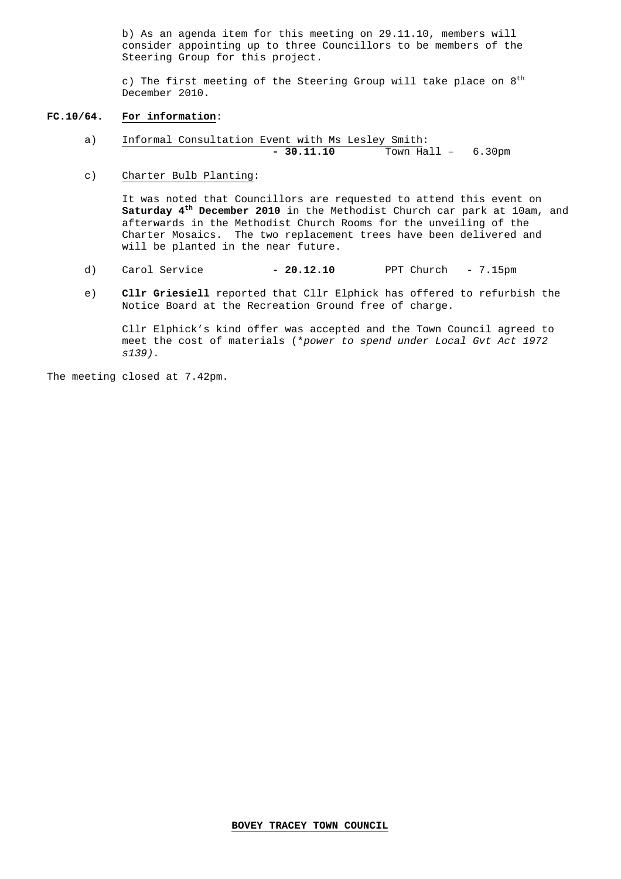b) As an agenda item for this meeting on 29.11.10, members will consider appointing up to three Councillors to be members of the Steering Group for this project.

c) The first meeting of the Steering Group will take place on  $8<sup>th</sup>$ December 2010.

#### **FC.10/64. For information**:

- a) Informal Consultation Event with Ms Lesley Smith: **- 30.11.10** Town Hall – 6.30pm
- c) Charter Bulb Planting:

 It was noted that Councillors are requested to attend this event on **Saturday 4th December 2010** in the Methodist Church car park at 10am, and afterwards in the Methodist Church Rooms for the unveiling of the Charter Mosaics. The two replacement trees have been delivered and will be planted in the near future.

- d) Carol Service **20.12.10** PPT Church 7.15pm
- e) **Cllr Griesiell** reported that Cllr Elphick has offered to refurbish the Notice Board at the Recreation Ground free of charge.

 Cllr Elphick's kind offer was accepted and the Town Council agreed to meet the cost of materials (\*power to spend under Local Gvt Act 1972 s139).

The meeting closed at 7.42pm.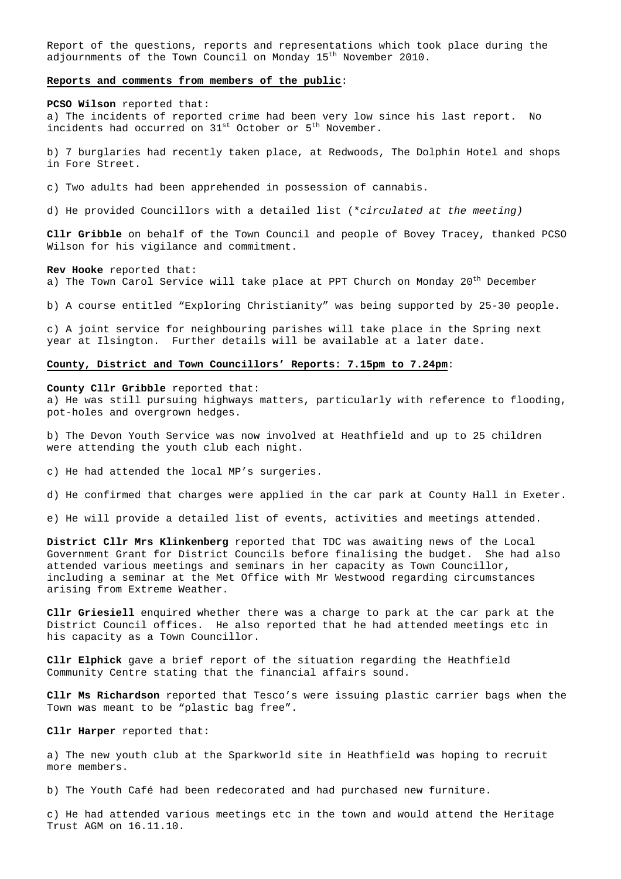Report of the questions, reports and representations which took place during the adjournments of the Town Council on Monday 15<sup>th</sup> November 2010.

#### **Reports and comments from members of the public**:

**PCSO Wilson** reported that: a) The incidents of reported crime had been very low since his last report. No incidents had occurred on 31<sup>st</sup> October or 5<sup>th</sup> November.

b) 7 burglaries had recently taken place, at Redwoods, The Dolphin Hotel and shops in Fore Street.

c) Two adults had been apprehended in possession of cannabis.

d) He provided Councillors with a detailed list (\*circulated at the meeting)

**Cllr Gribble** on behalf of the Town Council and people of Bovey Tracey, thanked PCSO Wilson for his vigilance and commitment.

**Rev Hooke** reported that:

a) The Town Carol Service will take place at PPT Church on Monday 20<sup>th</sup> December

b) A course entitled "Exploring Christianity" was being supported by 25-30 people.

c) A joint service for neighbouring parishes will take place in the Spring next year at Ilsington. Further details will be available at a later date.

#### **County, District and Town Councillors' Reports: 7.15pm to 7.24pm**:

**County Cllr Gribble** reported that:

a) He was still pursuing highways matters, particularly with reference to flooding, pot-holes and overgrown hedges.

b) The Devon Youth Service was now involved at Heathfield and up to 25 children were attending the youth club each night.

c) He had attended the local MP's surgeries.

d) He confirmed that charges were applied in the car park at County Hall in Exeter.

e) He will provide a detailed list of events, activities and meetings attended.

**District Cllr Mrs Klinkenberg** reported that TDC was awaiting news of the Local Government Grant for District Councils before finalising the budget. She had also attended various meetings and seminars in her capacity as Town Councillor, including a seminar at the Met Office with Mr Westwood regarding circumstances arising from Extreme Weather.

**Cllr Griesiell** enquired whether there was a charge to park at the car park at the District Council offices. He also reported that he had attended meetings etc in his capacity as a Town Councillor.

**Cllr Elphick** gave a brief report of the situation regarding the Heathfield Community Centre stating that the financial affairs sound.

**Cllr Ms Richardson** reported that Tesco's were issuing plastic carrier bags when the Town was meant to be "plastic bag free".

**Cllr Harper** reported that:

a) The new youth club at the Sparkworld site in Heathfield was hoping to recruit more members.

b) The Youth Café had been redecorated and had purchased new furniture.

c) He had attended various meetings etc in the town and would attend the Heritage Trust AGM on 16.11.10.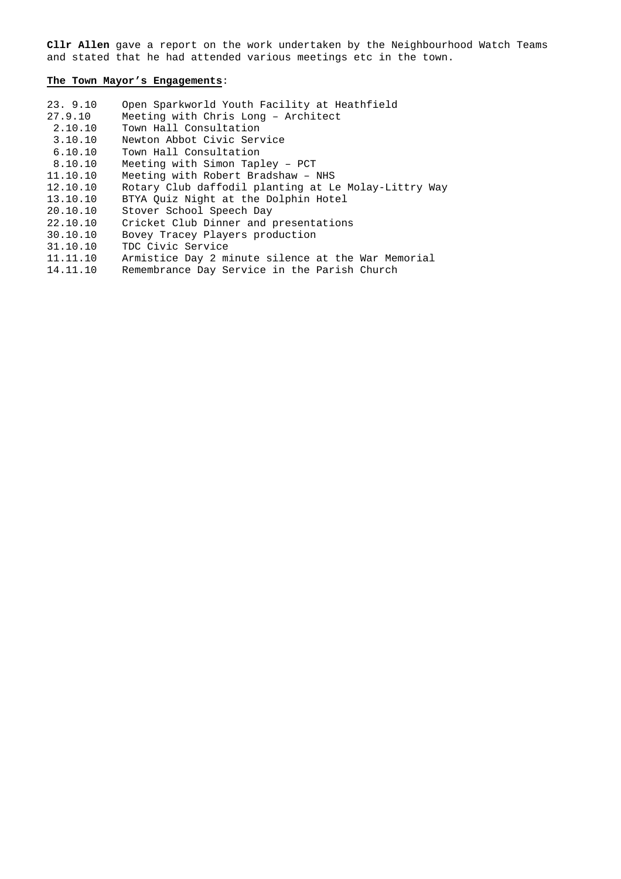**Cllr Allen** gave a report on the work undertaken by the Neighbourhood Watch Teams and stated that he had attended various meetings etc in the town.

# **The Town Mayor's Engagements**:

| 23.9.10  | Open Sparkworld Youth Facility at Heathfield         |
|----------|------------------------------------------------------|
| 27.9.10  | Meeting with Chris Long - Architect                  |
| 2.10.10  | Town Hall Consultation                               |
| 3.10.10  | Newton Abbot Civic Service                           |
| 6.10.10  | Town Hall Consultation                               |
| 8.10.10  | Meeting with Simon Tapley - PCT                      |
| 11.10.10 | Meeting with Robert Bradshaw - NHS                   |
| 12.10.10 | Rotary Club daffodil planting at Le Molay-Littry Way |
| 13.10.10 | BTYA Ouiz Night at the Dolphin Hotel                 |
| 20.10.10 | Stover School Speech Day                             |
| 22.10.10 | Cricket Club Dinner and presentations                |
| 30.10.10 | Bovey Tracey Players production                      |
| 31.10.10 | TDC Civic Service                                    |
| 11.11.10 | Armistice Day 2 minute silence at the War Memorial   |
| 14.11.10 | Remembrance Day Service in the Parish Church         |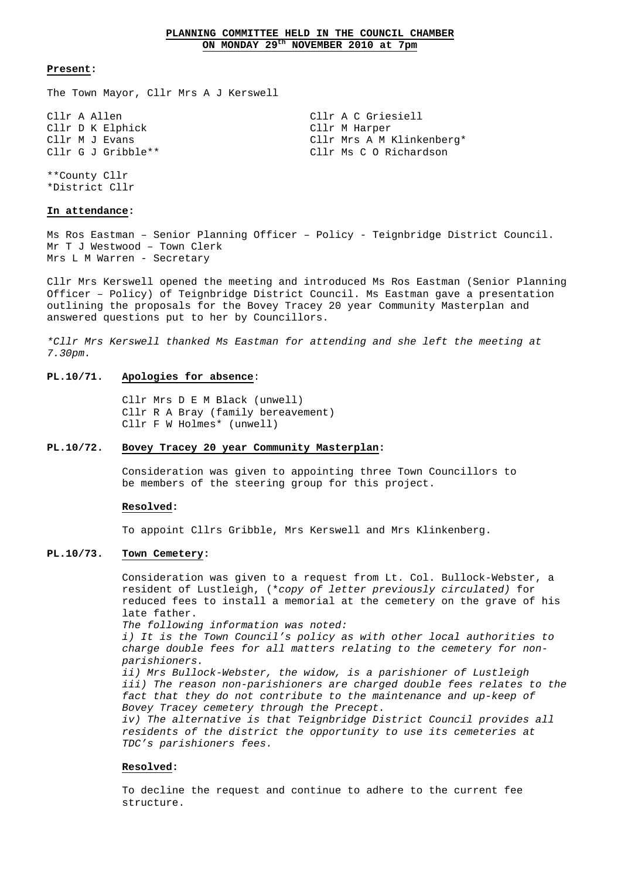# **PLANNING COMMITTEE HELD IN THE COUNCIL CHAMBER ON MONDAY 29th NOVEMBER 2010 at 7pm**

#### **Present:**

The Town Mayor, Cllr Mrs A J Kerswell

Cllr D K Elphick Cllr M Harper

Cllr A Allen Clir A C Griesiell Cllr M J Evans The Cline Cline Cline A M Klinkenberg\* Cllr G J Gribble\*\* Cllr Ms C O Richardson

\*\*County Cllr \*District Cllr

# **In attendance:**

Ms Ros Eastman – Senior Planning Officer – Policy - Teignbridge District Council. Mr T J Westwood – Town Clerk Mrs L M Warren - Secretary

Cllr Mrs Kerswell opened the meeting and introduced Ms Ros Eastman (Senior Planning Officer – Policy) of Teignbridge District Council. Ms Eastman gave a presentation outlining the proposals for the Bovey Tracey 20 year Community Masterplan and answered questions put to her by Councillors.

\*Cllr Mrs Kerswell thanked Ms Eastman for attending and she left the meeting at 7.30pm.

#### **PL.10/71. Apologies for absence**:

 Cllr Mrs D E M Black (unwell) Cllr R A Bray (family bereavement) Cllr F W Holmes\* (unwell)

#### **PL.10/72. Bovey Tracey 20 year Community Masterplan:**

Consideration was given to appointing three Town Councillors to be members of the steering group for this project.

### **Resolved:**

To appoint Cllrs Gribble, Mrs Kerswell and Mrs Klinkenberg.

# **PL.10/73. Town Cemetery:**

 Consideration was given to a request from Lt. Col. Bullock-Webster, a resident of Lustleigh, (\*copy of letter previously circulated) for reduced fees to install a memorial at the cemetery on the grave of his late father.

The following information was noted:

 i) It is the Town Council's policy as with other local authorities to charge double fees for all matters relating to the cemetery for non parishioners.

 ii) Mrs Bullock-Webster, the widow, is a parishioner of Lustleigh iii) The reason non-parishioners are charged double fees relates to the fact that they do not contribute to the maintenance and up-keep of Bovey Tracey cemetery through the Precept.

 iv) The alternative is that Teignbridge District Council provides all residents of the district the opportunity to use its cemeteries at TDC's parishioners fees.

#### **Resolved:**

 To decline the request and continue to adhere to the current fee structure.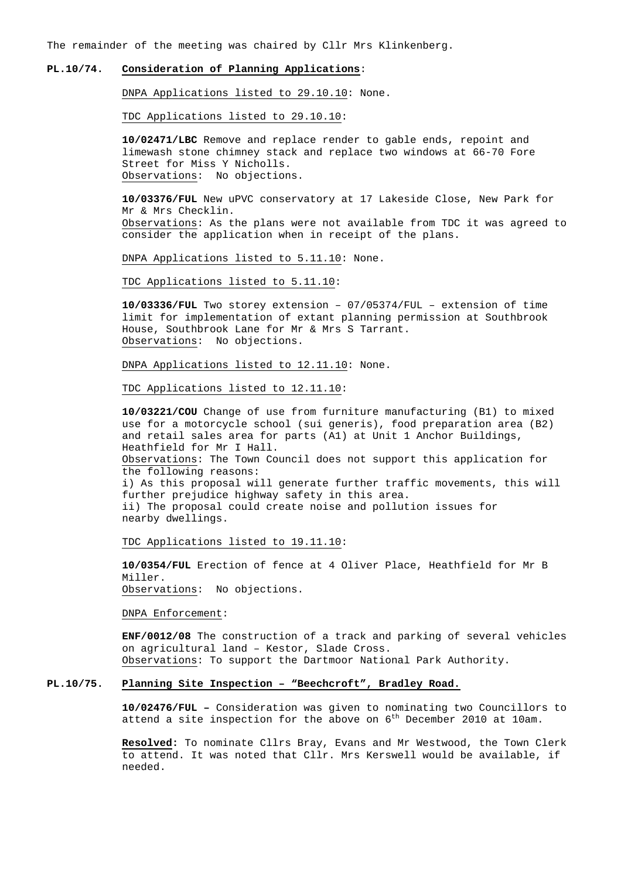The remainder of the meeting was chaired by Cllr Mrs Klinkenberg.

# **PL.10/74. Consideration of Planning Applications**:

DNPA Applications listed to 29.10.10: None.

TDC Applications listed to 29.10.10:

 **10/02471/LBC** Remove and replace render to gable ends, repoint and limewash stone chimney stack and replace two windows at 66-70 Fore Street for Miss Y Nicholls. Observations: No objections.

 **10/03376/FUL** New uPVC conservatory at 17 Lakeside Close, New Park for Mr & Mrs Checklin. Observations: As the plans were not available from TDC it was agreed to consider the application when in receipt of the plans.

DNPA Applications listed to 5.11.10: None.

TDC Applications listed to 5.11.10:

 **10/03336/FUL** Two storey extension – 07/05374/FUL – extension of time limit for implementation of extant planning permission at Southbrook House, Southbrook Lane for Mr & Mrs S Tarrant. Observations: No objections.

DNPA Applications listed to 12.11.10: None.

TDC Applications listed to 12.11.10:

 **10/03221/COU** Change of use from furniture manufacturing (B1) to mixed use for a motorcycle school (sui generis), food preparation area (B2) and retail sales area for parts (A1) at Unit 1 Anchor Buildings, Heathfield for Mr I Hall. Observations: The Town Council does not support this application for the following reasons: i) As this proposal will generate further traffic movements, this will further prejudice highway safety in this area. ii) The proposal could create noise and pollution issues for nearby dwellings.

TDC Applications listed to 19.11.10:

 **10/0354/FUL** Erection of fence at 4 Oliver Place, Heathfield for Mr B Miller.

Observations: No objections.

DNPA Enforcement:

 **ENF/0012/08** The construction of a track and parking of several vehicles on agricultural land – Kestor, Slade Cross. Observations: To support the Dartmoor National Park Authority.

# **PL.10/75. Planning Site Inspection – "Beechcroft", Bradley Road.**

 **10/02476/FUL –** Consideration was given to nominating two Councillors to attend a site inspection for the above on 6<sup>th</sup> December 2010 at 10am.

 **Resolved:** To nominate Cllrs Bray, Evans and Mr Westwood, the Town Clerk to attend. It was noted that Cllr. Mrs Kerswell would be available, if needed.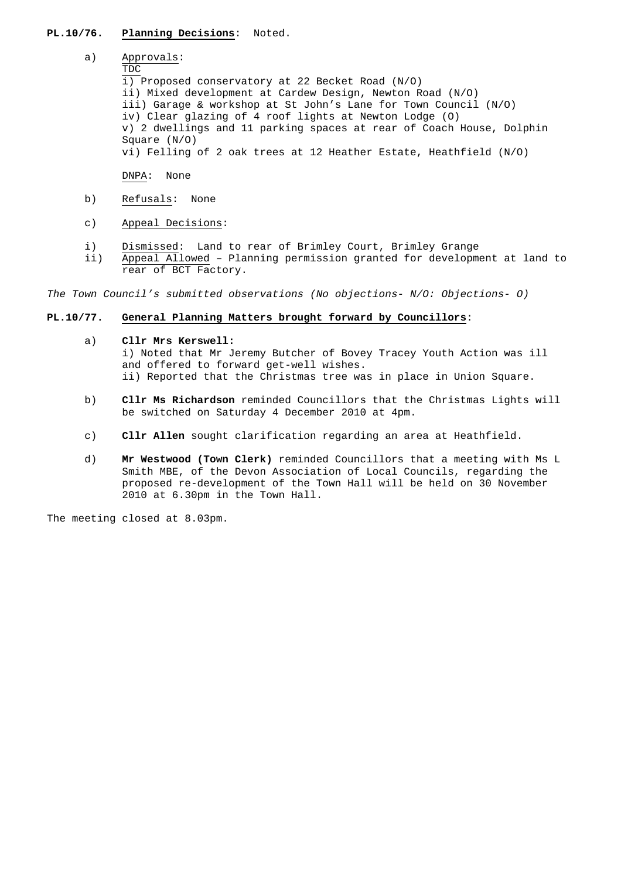# **PL.10/76. Planning Decisions**: Noted.

# a) Approvals:

#### TDC

 i) Proposed conservatory at 22 Becket Road (N/O) ii) Mixed development at Cardew Design, Newton Road (N/O) iii) Garage & workshop at St John's Lane for Town Council (N/O) iv) Clear glazing of 4 roof lights at Newton Lodge (O) v) 2 dwellings and 11 parking spaces at rear of Coach House, Dolphin Square (N/O) vi) Felling of 2 oak trees at 12 Heather Estate, Heathfield (N/O)

DNPA: None

- b) Refusals: None
- c) Appeal Decisions:
- i) Dismissed: Land to rear of Brimley Court, Brimley Grange
- ii) Appeal Allowed Planning permission granted for development at land to rear of BCT Factory.

The Town Council's submitted observations (No objections- N/O: Objections- O)

## **PL.10/77. General Planning Matters brought forward by Councillors**:

a) **Cllr Mrs Kerswell:** 

i) Noted that Mr Jeremy Butcher of Bovey Tracey Youth Action was ill and offered to forward get-well wishes. ii) Reported that the Christmas tree was in place in Union Square.

- b) **Cllr Ms Richardson** reminded Councillors that the Christmas Lights will be switched on Saturday 4 December 2010 at 4pm.
- c) **Cllr Allen** sought clarification regarding an area at Heathfield.
- d) **Mr Westwood (Town Clerk)** reminded Councillors that a meeting with Ms L Smith MBE, of the Devon Association of Local Councils, regarding the proposed re-development of the Town Hall will be held on 30 November 2010 at 6.30pm in the Town Hall.

The meeting closed at 8.03pm.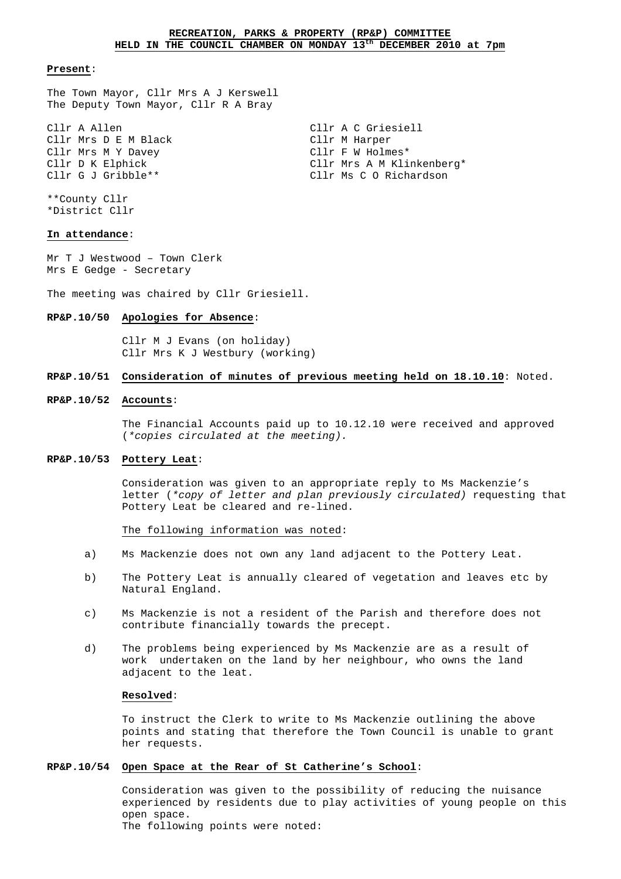#### **Present**:

The Town Mayor, Cllr Mrs A J Kerswell The Deputy Town Mayor, Cllr R A Bray

Cllr A Allen Cllr A C Griesiell Cllr Mrs D E M Black Cllr M Harper Cllr Mrs M Y Davey Cllr F W Holmes\* Cllr D K Elphick Cllr Mrs A M Klinkenberg\* Cllr G J Gribble\*\* Cllr Ms C O Richardson

\*\*County Cllr \*District Cllr

# **In attendance**:

Mr T J Westwood – Town Clerk Mrs E Gedge - Secretary

The meeting was chaired by Cllr Griesiell.

# **RP&P.10/50 Apologies for Absence**:

 Cllr M J Evans (on holiday) Cllr Mrs K J Westbury (working)

# **RP&P.10/51 Consideration of minutes of previous meeting held on 18.10.10**: Noted.

# **RP&P.10/52 Accounts**:

 The Financial Accounts paid up to 10.12.10 were received and approved (\*copies circulated at the meeting).

#### **RP&P.10/53 Pottery Leat**:

 Consideration was given to an appropriate reply to Ms Mackenzie's letter (\*copy of letter and plan previously circulated) requesting that Pottery Leat be cleared and re-lined.

The following information was noted:

- a) Ms Mackenzie does not own any land adjacent to the Pottery Leat.
- b) The Pottery Leat is annually cleared of vegetation and leaves etc by Natural England.
- c) Ms Mackenzie is not a resident of the Parish and therefore does not contribute financially towards the precept.
- d) The problems being experienced by Ms Mackenzie are as a result of work undertaken on the land by her neighbour, who owns the land adjacent to the leat.

#### **Resolved**:

 To instruct the Clerk to write to Ms Mackenzie outlining the above points and stating that therefore the Town Council is unable to grant her requests.

#### **RP&P.10/54 Open Space at the Rear of St Catherine's School**:

 Consideration was given to the possibility of reducing the nuisance experienced by residents due to play activities of young people on this open space.

The following points were noted: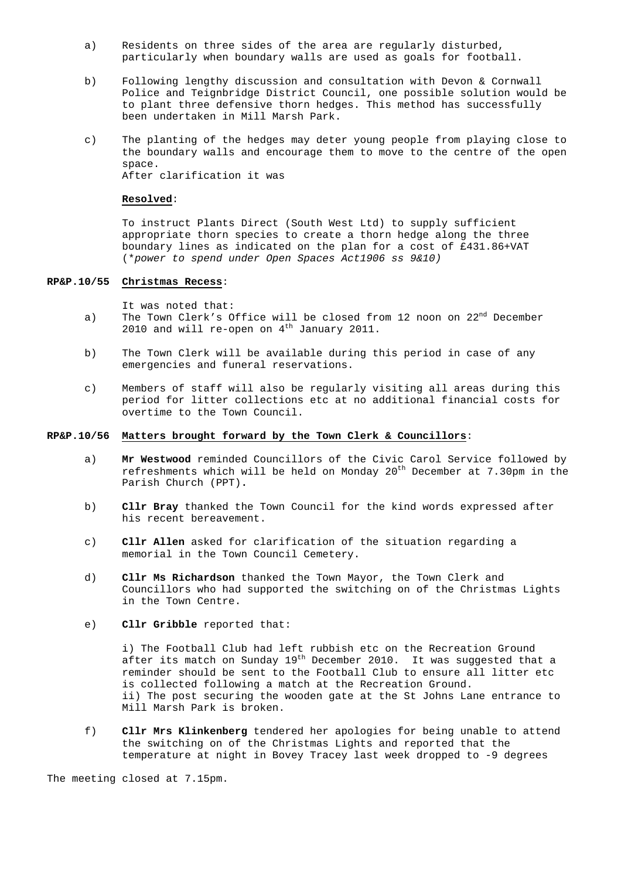- a) Residents on three sides of the area are regularly disturbed, particularly when boundary walls are used as goals for football.
- b) Following lengthy discussion and consultation with Devon & Cornwall Police and Teignbridge District Council, one possible solution would be to plant three defensive thorn hedges. This method has successfully been undertaken in Mill Marsh Park.
- c) The planting of the hedges may deter young people from playing close to the boundary walls and encourage them to move to the centre of the open space. After clarification it was

#### **Resolved**:

 To instruct Plants Direct (South West Ltd) to supply sufficient appropriate thorn species to create a thorn hedge along the three boundary lines as indicated on the plan for a cost of £431.86+VAT (\*power to spend under Open Spaces Act1906 ss 9&10)

# **RP&P.10/55 Christmas Recess**:

It was noted that:

- a) The Town Clerk's Office will be closed from 12 noon on  $22<sup>nd</sup>$  December 2010 and will re-open on  $4<sup>th</sup>$  January 2011.
- b) The Town Clerk will be available during this period in case of any emergencies and funeral reservations.
- c) Members of staff will also be regularly visiting all areas during this period for litter collections etc at no additional financial costs for overtime to the Town Council.

#### **RP&P.10/56 Matters brought forward by the Town Clerk & Councillors**:

- a) **Mr Westwood** reminded Councillors of the Civic Carol Service followed by refreshments which will be held on Monday  $20^{th}$  December at 7.30pm in the Parish Church (PPT)**.**
- b) **Cllr Bray** thanked the Town Council for the kind words expressed after his recent bereavement.
- c) **Cllr Allen** asked for clarification of the situation regarding a memorial in the Town Council Cemetery.
- d) **Cllr Ms Richardson** thanked the Town Mayor, the Town Clerk and Councillors who had supported the switching on of the Christmas Lights in the Town Centre.
- e) **Cllr Gribble** reported that:

 i) The Football Club had left rubbish etc on the Recreation Ground after its match on Sunday  $19<sup>th</sup>$  December 2010. It was suggested that a reminder should be sent to the Football Club to ensure all litter etc is collected following a match at the Recreation Ground. ii) The post securing the wooden gate at the St Johns Lane entrance to Mill Marsh Park is broken.

 f) **Cllr Mrs Klinkenberg** tendered her apologies for being unable to attend the switching on of the Christmas Lights and reported that the temperature at night in Bovey Tracey last week dropped to -9 degrees

The meeting closed at 7.15pm.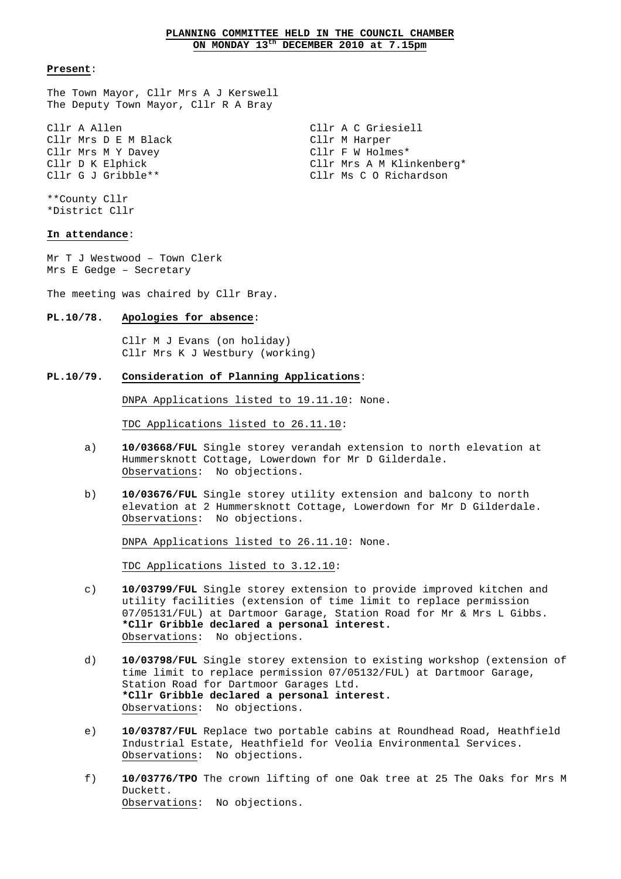# **PLANNING COMMITTEE HELD IN THE COUNCIL CHAMBER ON MONDAY 13th DECEMBER 2010 at 7.15pm**

#### **Present**:

The Town Mayor, Cllr Mrs A J Kerswell The Deputy Town Mayor, Cllr R A Bray

Cllr A Allen Cllr A C Griesiell Cllr Mrs D E M Black Cllr M Harper Cllr Mrs M Y Davey Cllr F W Holmes\* Cllr D K Elphick Cllr Mrs A M Klinkenberg\* Cllr G J Gribble\*\* Cllr Ms C O Richardson

\*\*County Cllr \*District Cllr

# **In attendance**:

Mr T J Westwood – Town Clerk Mrs E Gedge – Secretary

The meeting was chaired by Cllr Bray.

# **PL.10/78. Apologies for absence**:

 Cllr M J Evans (on holiday) Cllr Mrs K J Westbury (working)

## **PL.10/79. Consideration of Planning Applications**:

DNPA Applications listed to 19.11.10: None.

TDC Applications listed to 26.11.10:

- a) **10/03668/FUL** Single storey verandah extension to north elevation at Hummersknott Cottage, Lowerdown for Mr D Gilderdale. Observations: No objections.
- b) **10/03676/FUL** Single storey utility extension and balcony to north elevation at 2 Hummersknott Cottage, Lowerdown for Mr D Gilderdale. Observations: No objections.

DNPA Applications listed to 26.11.10: None.

TDC Applications listed to 3.12.10:

- c) **10/03799/FUL** Single storey extension to provide improved kitchen and utility facilities (extension of time limit to replace permission 07/05131/FUL) at Dartmoor Garage, Station Road for Mr & Mrs L Gibbs. **\*Cllr Gribble declared a personal interest.** Observations: No objections.
- d) **10/03798/FUL** Single storey extension to existing workshop (extension of time limit to replace permission 07/05132/FUL) at Dartmoor Garage, Station Road for Dartmoor Garages Ltd. **\*Cllr Gribble declared a personal interest.** Observations: No objections.
- e) **10/03787/FUL** Replace two portable cabins at Roundhead Road, Heathfield Industrial Estate, Heathfield for Veolia Environmental Services. Observations: No objections.
- f) **10/03776/TPO** The crown lifting of one Oak tree at 25 The Oaks for Mrs M Duckett. Observations: No objections.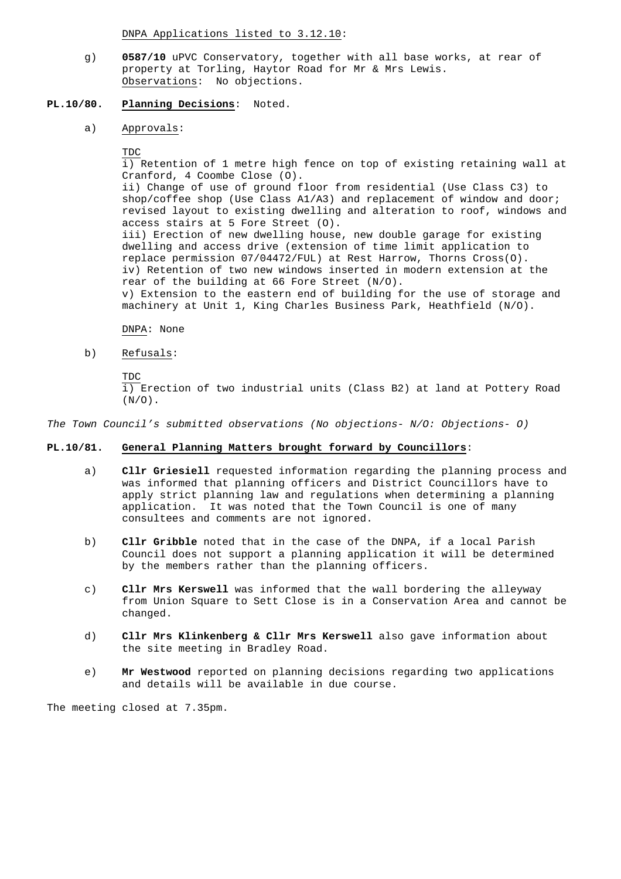DNPA Applications listed to 3.12.10:

 g) **0587/10** uPVC Conservatory, together with all base works, at rear of property at Torling, Haytor Road for Mr & Mrs Lewis. Observations: No objections.

# **PL.10/80. Planning Decisions**: Noted.

- a) Approvals:
	- TDC

 i) Retention of 1 metre high fence on top of existing retaining wall at Cranford, 4 Coombe Close (O). ii) Change of use of ground floor from residential (Use Class C3) to shop/coffee shop (Use Class A1/A3) and replacement of window and door; revised layout to existing dwelling and alteration to roof, windows and access stairs at 5 Fore Street (O). iii) Erection of new dwelling house, new double garage for existing dwelling and access drive (extension of time limit application to replace permission 07/04472/FUL) at Rest Harrow, Thorns Cross(O). iv) Retention of two new windows inserted in modern extension at the rear of the building at 66 Fore Street (N/O). v) Extension to the eastern end of building for the use of storage and machinery at Unit 1, King Charles Business Park, Heathfield (N/O).

DNPA: None

b) Refusals:

 TDC i) Erection of two industrial units (Class B2) at land at Pottery Road  $(N/O)$ .

The Town Council's submitted observations (No objections- N/O: Objections- O)

# **PL.10/81. General Planning Matters brought forward by Councillors**:

- a) **Cllr Griesiell** requested information regarding the planning process and was informed that planning officers and District Councillors have to apply strict planning law and regulations when determining a planning application. It was noted that the Town Council is one of many consultees and comments are not ignored.
- b) **Cllr Gribble** noted that in the case of the DNPA, if a local Parish Council does not support a planning application it will be determined by the members rather than the planning officers.
- c) **Cllr Mrs Kerswell** was informed that the wall bordering the alleyway from Union Square to Sett Close is in a Conservation Area and cannot be changed.
- d) **Cllr Mrs Klinkenberg & Cllr Mrs Kerswell** also gave information about the site meeting in Bradley Road.
- e) **Mr Westwood** reported on planning decisions regarding two applications and details will be available in due course.

The meeting closed at 7.35pm.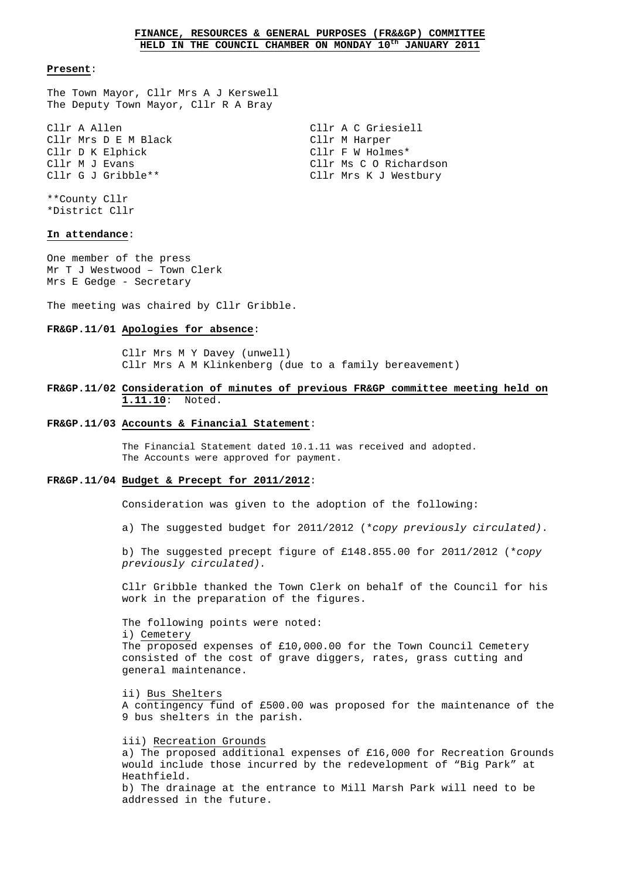#### **Present**:

The Town Mayor, Cllr Mrs A J Kerswell The Deputy Town Mayor, Cllr R A Bray

Cllr A Allen Cllr A C Griesiell Cllr Mrs D E M Black Cllr M Harper Cllr D K Elphick Cllr F W Holmes\* Cllr M J Evans The Client Client Construction Client Constants Construction Client Constants Constants Constants Constants Constants Constants Constants Constants Constants Constants Constants Constants Constants Constants Cllr G J Gribble\*\* Cllr Mrs K J Westbury

\*\*County Cllr \*District Cllr

# **In attendance**:

One member of the press Mr T J Westwood – Town Clerk Mrs E Gedge - Secretary

The meeting was chaired by Cllr Gribble.

#### **FR&GP.11/01 Apologies for absence**:

 Cllr Mrs M Y Davey (unwell) Cllr Mrs A M Klinkenberg (due to a family bereavement)

#### **FR&GP.11/02 Consideration of minutes of previous FR&GP committee meeting held on 1.11.10**: Noted.

#### **FR&GP.11/03 Accounts & Financial Statement**:

 The Financial Statement dated 10.1.11 was received and adopted. The Accounts were approved for payment.

#### **FR&GP.11/04 Budget & Precept for 2011/2012**:

Consideration was given to the adoption of the following:

a) The suggested budget for 2011/2012 (\*copy previously circulated).

 b) The suggested precept figure of £148.855.00 for 2011/2012 (\*copy previously circulated).

 Cllr Gribble thanked the Town Clerk on behalf of the Council for his work in the preparation of the figures.

 The following points were noted: i) Cemetery The proposed expenses of £10,000.00 for the Town Council Cemetery consisted of the cost of grave diggers, rates, grass cutting and general maintenance.

 ii) Bus Shelters A contingency fund of £500.00 was proposed for the maintenance of the 9 bus shelters in the parish.

 iii) Recreation Grounds a) The proposed additional expenses of £16,000 for Recreation Grounds would include those incurred by the redevelopment of "Big Park" at Heathfield. b) The drainage at the entrance to Mill Marsh Park will need to be addressed in the future.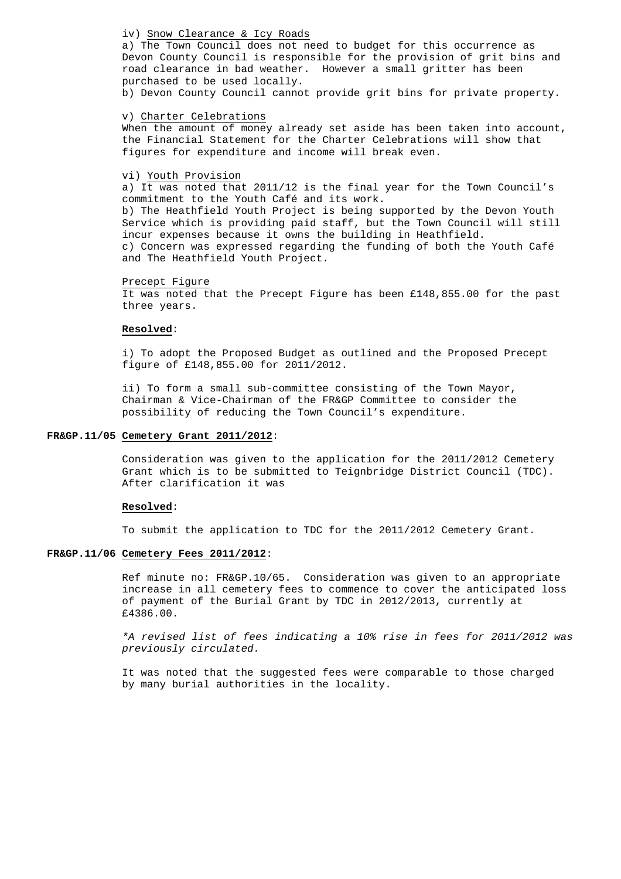## iv) Snow Clearance & Icy Roads

 a) The Town Council does not need to budget for this occurrence as Devon County Council is responsible for the provision of grit bins and road clearance in bad weather. However a small gritter has been purchased to be used locally.

b) Devon County Council cannot provide grit bins for private property.

#### v) Charter Celebrations

 When the amount of money already set aside has been taken into account, the Financial Statement for the Charter Celebrations will show that figures for expenditure and income will break even.

# vi) Youth Provision

 a) It was noted that 2011/12 is the final year for the Town Council's commitment to the Youth Café and its work. b) The Heathfield Youth Project is being supported by the Devon Youth Service which is providing paid staff, but the Town Council will still incur expenses because it owns the building in Heathfield. c) Concern was expressed regarding the funding of both the Youth Café

and The Heathfield Youth Project.

#### Precept Figure

 It was noted that the Precept Figure has been £148,855.00 for the past three years.

#### **Resolved**:

 i) To adopt the Proposed Budget as outlined and the Proposed Precept figure of £148,855.00 for 2011/2012.

 ii) To form a small sub-committee consisting of the Town Mayor, Chairman & Vice-Chairman of the FR&GP Committee to consider the possibility of reducing the Town Council's expenditure.

## **FR&GP.11/05 Cemetery Grant 2011/2012**:

 Consideration was given to the application for the 2011/2012 Cemetery Grant which is to be submitted to Teignbridge District Council (TDC). After clarification it was

### **Resolved**:

To submit the application to TDC for the 2011/2012 Cemetery Grant.

#### **FR&GP.11/06 Cemetery Fees 2011/2012**:

 Ref minute no: FR&GP.10/65. Consideration was given to an appropriate increase in all cemetery fees to commence to cover the anticipated loss of payment of the Burial Grant by TDC in 2012/2013, currently at £4386.00.

 \*A revised list of fees indicating a 10% rise in fees for 2011/2012 was previously circulated.

 It was noted that the suggested fees were comparable to those charged by many burial authorities in the locality.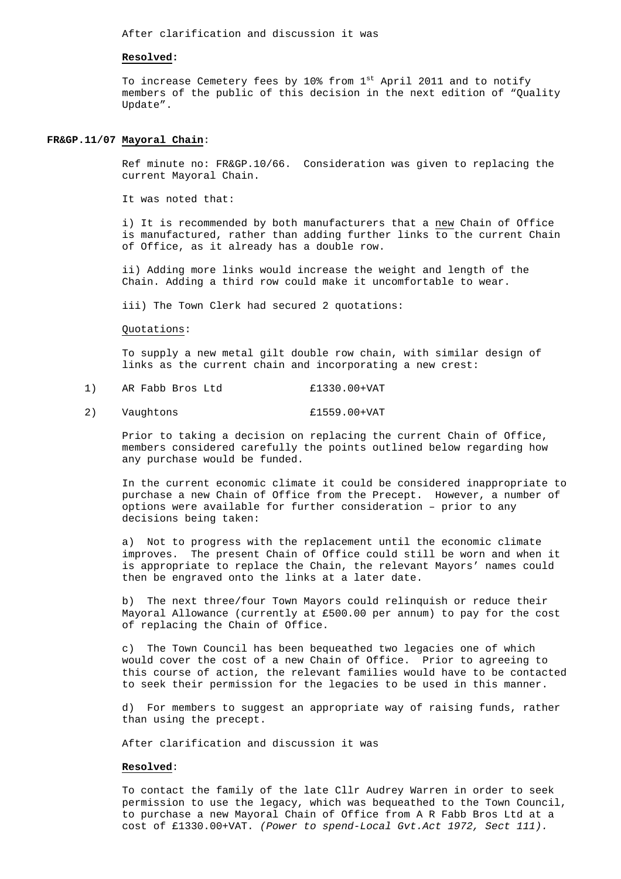After clarification and discussion it was

#### **Resolved:**

To increase Cemetery fees by 10% from 1<sup>st</sup> April 2011 and to notify members of the public of this decision in the next edition of "Quality Update".

#### **FR&GP.11/07 Mayoral Chain**:

 Ref minute no: FR&GP.10/66. Consideration was given to replacing the current Mayoral Chain.

It was noted that:

 i) It is recommended by both manufacturers that a new Chain of Office is manufactured, rather than adding further links  $\overline{to}$  the current Chain of Office, as it already has a double row.

 ii) Adding more links would increase the weight and length of the Chain. Adding a third row could make it uncomfortable to wear.

iii) The Town Clerk had secured 2 quotations:

Quotations:

 To supply a new metal gilt double row chain, with similar design of links as the current chain and incorporating a new crest:

- 1) AR Fabb Bros Ltd £1330.00+VAT
- 2) Vaughtons £1559.00+VAT

 Prior to taking a decision on replacing the current Chain of Office, members considered carefully the points outlined below regarding how any purchase would be funded.

 In the current economic climate it could be considered inappropriate to purchase a new Chain of Office from the Precept. However, a number of options were available for further consideration – prior to any decisions being taken:

 a) Not to progress with the replacement until the economic climate improves. The present Chain of Office could still be worn and when it is appropriate to replace the Chain, the relevant Mayors' names could then be engraved onto the links at a later date.

 b) The next three/four Town Mayors could relinquish or reduce their Mayoral Allowance (currently at £500.00 per annum) to pay for the cost of replacing the Chain of Office.

 c) The Town Council has been bequeathed two legacies one of which would cover the cost of a new Chain of Office. Prior to agreeing to this course of action, the relevant families would have to be contacted to seek their permission for the legacies to be used in this manner.

 d) For members to suggest an appropriate way of raising funds, rather than using the precept.

After clarification and discussion it was

#### **Resolved**:

 To contact the family of the late Cllr Audrey Warren in order to seek permission to use the legacy, which was bequeathed to the Town Council, to purchase a new Mayoral Chain of Office from A R Fabb Bros Ltd at a cost of £1330.00+VAT. (Power to spend-Local Gvt.Act 1972, Sect 111).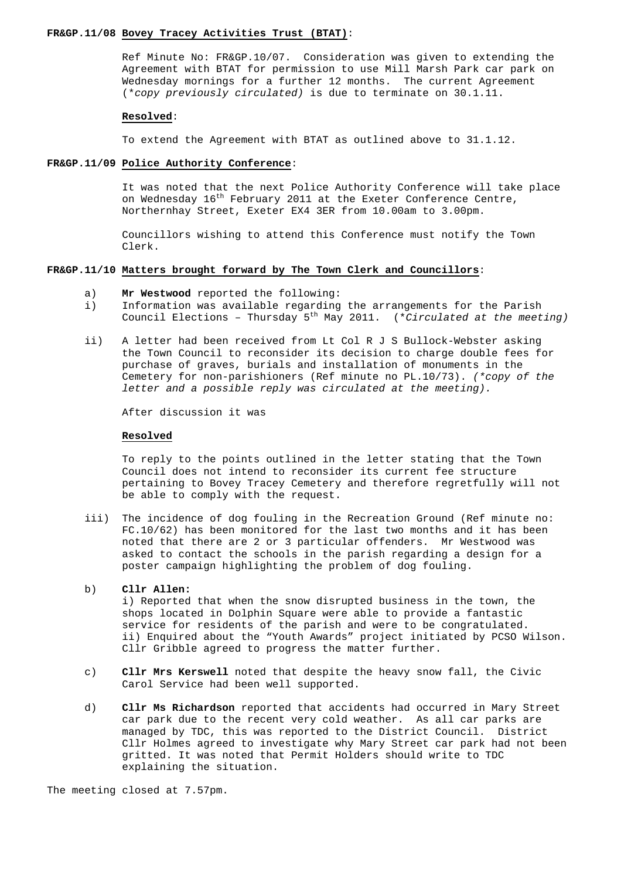#### **FR&GP.11/08 Bovey Tracey Activities Trust (BTAT)**:

 Ref Minute No: FR&GP.10/07. Consideration was given to extending the Agreement with BTAT for permission to use Mill Marsh Park car park on Wednesday mornings for a further 12 months. The current Agreement (\*copy previously circulated) is due to terminate on 30.1.11.

#### **Resolved**:

To extend the Agreement with BTAT as outlined above to 31.1.12.

#### **FR&GP.11/09 Police Authority Conference**:

 It was noted that the next Police Authority Conference will take place on Wednesday 16<sup>th</sup> February 2011 at the Exeter Conference Centre, Northernhay Street, Exeter EX4 3ER from 10.00am to 3.00pm.

 Councillors wishing to attend this Conference must notify the Town Clerk.

## **FR&GP.11/10 Matters brought forward by The Town Clerk and Councillors**:

- a) **Mr Westwood** reported the following:
- i) Information was available regarding the arrangements for the Parish Council Elections - Thursday  $5<sup>th</sup>$  May 2011. (\*Circulated at the meeting)
- ii) A letter had been received from Lt Col R J S Bullock-Webster asking the Town Council to reconsider its decision to charge double fees for purchase of graves, burials and installation of monuments in the Cemetery for non-parishioners (Ref minute no PL.10/73). (\*copy of the letter and a possible reply was circulated at the meeting).

After discussion it was

#### **Resolved**

 To reply to the points outlined in the letter stating that the Town Council does not intend to reconsider its current fee structure pertaining to Bovey Tracey Cemetery and therefore regretfully will not be able to comply with the request.

 iii) The incidence of dog fouling in the Recreation Ground (Ref minute no: FC.10/62) has been monitored for the last two months and it has been noted that there are 2 or 3 particular offenders. Mr Westwood was asked to contact the schools in the parish regarding a design for a poster campaign highlighting the problem of dog fouling.

# b) **Cllr Allen:**

i) Reported that when the snow disrupted business in the town, the shops located in Dolphin Square were able to provide a fantastic service for residents of the parish and were to be congratulated. ii) Enquired about the "Youth Awards" project initiated by PCSO Wilson. Cllr Gribble agreed to progress the matter further.

- c) **Cllr Mrs Kerswell** noted that despite the heavy snow fall, the Civic Carol Service had been well supported.
- d) **Cllr Ms Richardson** reported that accidents had occurred in Mary Street car park due to the recent very cold weather. As all car parks are managed by TDC, this was reported to the District Council. District Cllr Holmes agreed to investigate why Mary Street car park had not been gritted. It was noted that Permit Holders should write to TDC explaining the situation.

The meeting closed at 7.57pm.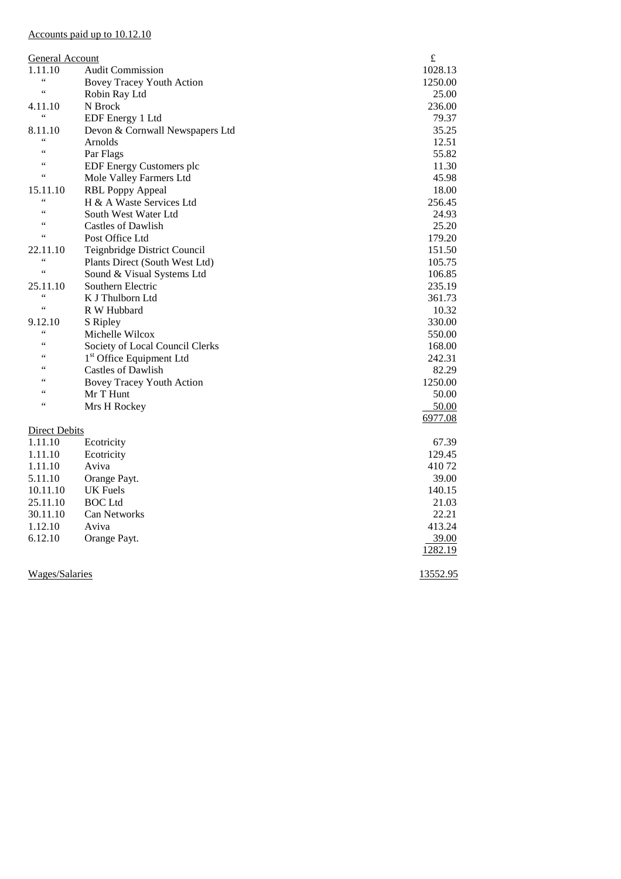# Accounts paid up to 10.12.10

| <b>General Account</b> |                                      |          |
|------------------------|--------------------------------------|----------|
| 1.11.10                | <b>Audit Commission</b>              | 1028.13  |
| $\zeta$ $\zeta$        | Bovey Tracey Youth Action            | 1250.00  |
| $\leq$ $\leq$          | Robin Ray Ltd                        | 25.00    |
| 4.11.10                | N Brock                              | 236.00   |
| $\zeta \, \zeta$       | EDF Energy 1 Ltd                     | 79.37    |
| 8.11.10                | Devon & Cornwall Newspapers Ltd      | 35.25    |
| $\leq \leq$            | Arnolds                              | 12.51    |
| $\leq$ $\leq$          | Par Flags                            | 55.82    |
| $\zeta$ $\zeta$        | <b>EDF Energy Customers plc</b>      | 11.30    |
| $\zeta \, \zeta$       | Mole Valley Farmers Ltd              | 45.98    |
| 15.11.10               | <b>RBL Poppy Appeal</b>              | 18.00    |
| $\zeta$ $\zeta$        | H & A Waste Services Ltd             | 256.45   |
| $\zeta$ $\zeta$        | South West Water Ltd                 | 24.93    |
| 66                     | Castles of Dawlish                   | 25.20    |
| $\leq$ $\leq$          | Post Office Ltd                      | 179.20   |
| 22.11.10               | Teignbridge District Council         | 151.50   |
| $\leq$ $\leq$          | Plants Direct (South West Ltd)       | 105.75   |
| $\zeta$ $\zeta$        | Sound & Visual Systems Ltd           | 106.85   |
| 25.11.10               | Southern Electric                    | 235.19   |
| $\zeta$ $\zeta$        | K J Thulborn Ltd                     | 361.73   |
| $\zeta$ $\zeta$        | R W Hubbard                          | 10.32    |
| 9.12.10                | S Ripley                             | 330.00   |
| $\zeta$ $\zeta$        | Michelle Wilcox                      | 550.00   |
| $\zeta$ $\zeta$        | Society of Local Council Clerks      | 168.00   |
| 66                     | 1 <sup>st</sup> Office Equipment Ltd | 242.31   |
| 66                     | Castles of Dawlish                   | 82.29    |
| 66                     | <b>Bovey Tracey Youth Action</b>     | 1250.00  |
| 66                     | Mr T Hunt                            | 50.00    |
| $\leq$ $\leq$          | Mrs H Rockey                         | 50.00    |
|                        |                                      | 6977.08  |
| <b>Direct Debits</b>   |                                      |          |
| 1.11.10                | Ecotricity                           | 67.39    |
| 1.11.10                | Ecotricity                           | 129.45   |
| 1.11.10                | Aviva                                | 41072    |
| 5.11.10                | Orange Payt.                         | 39.00    |
| 10.11.10               | UK Fuels                             | 140.15   |
| 25.11.10               | <b>BOC</b> Ltd                       | 21.03    |
| 30.11.10               | Can Networks                         | 22.21    |
| 1.12.10                | Aviva                                | 413.24   |
| 6.12.10                | Orange Payt.                         | 39.00    |
|                        |                                      | 1282.19  |
| <b>Wages/Salaries</b>  |                                      | 13552.95 |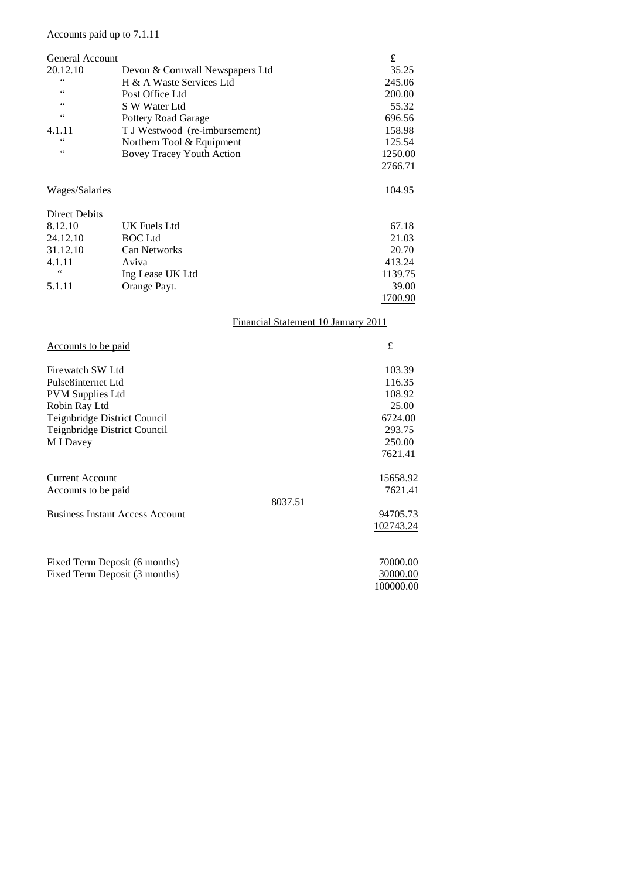# Accounts paid up to 7.1.11

| General Account       |                                     | £             |
|-----------------------|-------------------------------------|---------------|
| 20.12.10              | Devon & Cornwall Newspapers Ltd     | 35.25         |
| $\zeta$ $\zeta$       | H & A Waste Services Ltd            | 245.06        |
| $\zeta$ $\zeta$       | Post Office Ltd                     | 200.00        |
| 66                    | S W Water Ltd                       | 55.32         |
| $\zeta$ $\zeta$       | <b>Pottery Road Garage</b>          | 696.56        |
| 4.1.11                | T J Westwood (re-imbursement)       | 158.98        |
| $\zeta$ $\zeta$       | Northern Tool & Equipment           | 125.54        |
| 66                    | Bovey Tracey Youth Action           | 1250.00       |
|                       |                                     | 2766.71       |
| <b>Wages/Salaries</b> |                                     | <u>104.95</u> |
| Direct Debits         |                                     |               |
| 8.12.10               | UK Fuels Ltd                        | 67.18         |
| 24.12.10              | <b>BOC</b> Ltd                      | 21.03         |
| 31.12.10              | <b>Can Networks</b>                 | 20.70         |
| 4.1.11                | Aviva                               | 413.24        |
| 66                    | Ing Lease UK Ltd                    | 1139.75       |
| 5.1.11                | Orange Payt.                        | 39.00         |
|                       |                                     | 1700.90       |
|                       | Financial Statement 10 January 2011 |               |

| <u>Accounts</u> to be paid             |         | £         |
|----------------------------------------|---------|-----------|
| Firewatch SW Ltd                       |         | 103.39    |
| Pulse8internet Ltd                     |         | 116.35    |
| <b>PVM Supplies Ltd</b>                |         | 108.92    |
| Robin Ray Ltd                          |         | 25.00     |
| Teignbridge District Council           |         | 6724.00   |
| Teignbridge District Council           |         | 293.75    |
| M I Davey                              |         | 250.00    |
|                                        |         | 7621.41   |
| <b>Current Account</b>                 |         | 15658.92  |
| Accounts to be paid                    |         | 7621.41   |
|                                        | 8037.51 |           |
| <b>Business Instant Access Account</b> |         | 94705.73  |
|                                        |         | 102743.24 |
|                                        |         |           |
| Fixed Term Deposit (6 months)          |         | 70000.00  |
| Fixed Term Deposit (3 months)          |         | 30000.00  |
|                                        |         | 100000.00 |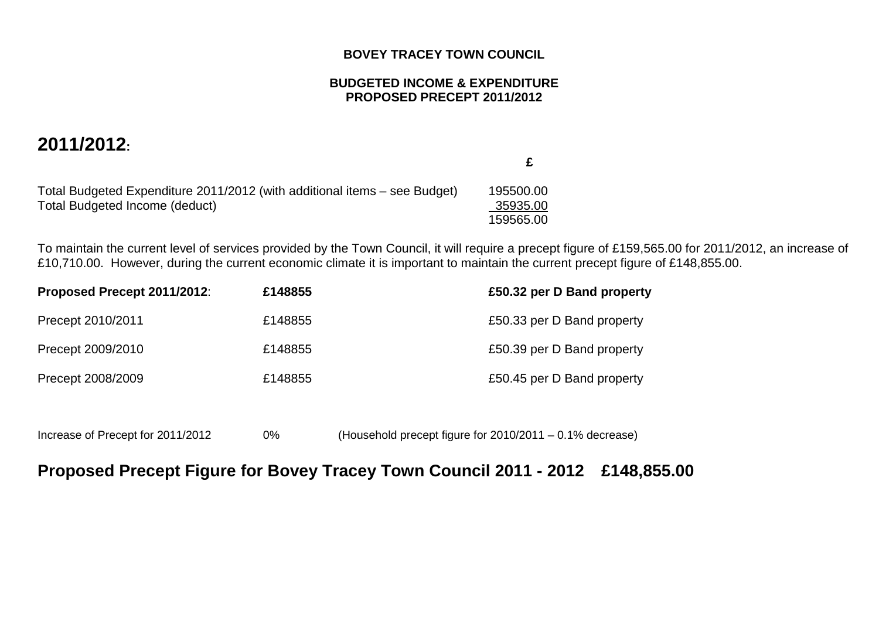# **BOVEY TRACEY TOWN COUNCIL**

# **BUDGETED INCOME & EXPENDITURE PROPOSED PRECEPT 2011/2012**

# **2011/2012:**

Total Budgeted Expenditure 2011/2012 (with additional items – see Budget) 195500.00 Total Budgeted Income (deduct) 159565.00

 **£** 

35935.00

To maintain the current level of services provided by the Town Council, it will require a precept figure of £159,565.00 for 2011/2012, an increase of £10,710.00. However, during the current economic climate it is important to maintain the current precept figure of £148,855.00.

| Proposed Precept 2011/2012: | £148855 | £50.32 per D Band property |
|-----------------------------|---------|----------------------------|
| Precept 2010/2011           | £148855 | £50.33 per D Band property |
| Precept 2009/2010           | £148855 | £50.39 per D Band property |
| Precept 2008/2009           | £148855 | £50.45 per D Band property |

Increase of Precept for 2011/2012 0% (Household precept figure for 2010/2011 – 0.1% decrease)

# **Proposed Precept Figure for Bovey Tracey Town Council 2011 - 2012 £148,855.00**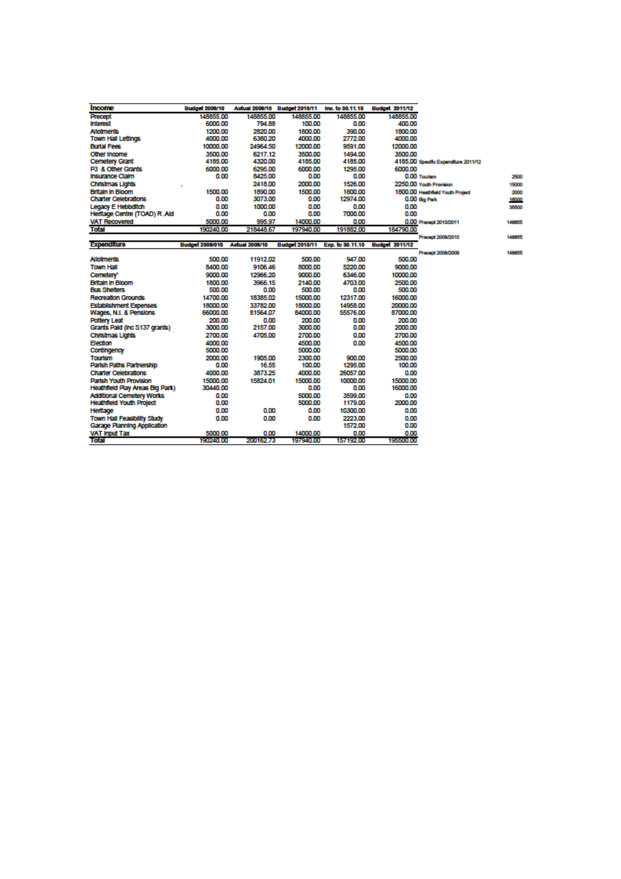| Income                           | Budget 2009/10         |                       | Actual 2008/10 Budget 2010/11   | Ino. to 30.11.10 | <b>Budget 2011/12</b> |                                      |        |
|----------------------------------|------------------------|-----------------------|---------------------------------|------------------|-----------------------|--------------------------------------|--------|
| Precept                          | 148855.00              | 148855.00             | 148855.00                       | 148855.00        | 148855.00             |                                      |        |
| <b>Interest</b>                  | 6000.00                | 794.88                | 100.00                          | 0.00             | 400.00                |                                      |        |
| <b>Allotments</b>                | 1200.00                | 2820.00               | 1800.00                         | 390.00           | 1800.00               |                                      |        |
| <b>Town Hall Lettings</b>        | 4000.00                | 6380.20               | 4000.00                         | 2772.00          | 4000.00               |                                      |        |
| <b>Burial Fees</b>               | 10000.00               | 24964.50              | 12000.00                        | 9591.00          | 12000.00              |                                      |        |
| Other Income                     | 3500.00                | 6217.12               | 3500.00                         | 1494.00          | 3500.00               |                                      |        |
| <b>Cemetery Grant</b>            | 4185.00                | 4320.00               | 4185.00                         | 4185.00          |                       | 4185.00 Specific Expanditure 2011/12 |        |
| P3 & Other Grants                | 6000.00                | 6295.00               | 6000.00                         | 1295.00          | 6000.00               |                                      |        |
| Insurance Claim                  | 0.00                   | 8425.00               | 0.00                            | 0.00             |                       | 0.00 Tourism                         | 2500   |
| Christmas Lights                 |                        | 2418.00               | 2000.00                         | 1526.00          |                       | 2250.00 Youth Provision              | 15000  |
| <b>Britain in Bloom</b>          | 1500.00                | 1890.00               | 1500.00                         | 1800.00          |                       | 1800.00 Heathfield Youth Project     | 2000   |
| <b>Charter Celebrations</b>      | 0.00                   | 3073.00               | 0.00                            | 12974.00         |                       | 0.00 Big Park                        | 16000  |
| Legacy E Hebbditch               | 0.00                   | 1000.00               | 0.00                            | 0.00             | 0.00                  |                                      | 35500  |
| Heritage Centre (TOAD) R Ald     | 0.00                   | 0.00                  | 0.00                            | 7000.00          | 0.00                  |                                      |        |
| <b>VAT Recovered</b>             | 5000.00                | 995.97                | 14000.00                        | 0.00             |                       | 0.00 Precept 2010/2011               | 148855 |
| <b>Total</b>                     | 190240.00              | 218448.67             | 197940.00                       | 191882.00        | 184790.00             |                                      |        |
|                                  |                        |                       |                                 |                  |                       | Precept 2009/2010                    | 148855 |
| Expenditure                      | <b>Budget 2008/010</b> | <b>Actual 2009/10</b> | Budget 2010/11 Exp. to 30.11.10 |                  | <b>Budget 2011/12</b> |                                      |        |
|                                  |                        |                       |                                 |                  |                       | Precept 2008/2009                    | 148855 |
| <b>Allotments</b>                | 500.00                 | 11912.02              | 500.00                          | 947.00           | 500.00                |                                      |        |
| <b>Town Hall</b>                 | 8400.00                | 9106.46               | 8000.00                         | 5220.00          | 9000.00               |                                      |        |
| Cemetery <sup>1</sup>            | 9000.00                | 12966.20              | 9000.00                         | 6346.00          | 10000.00              |                                      |        |
| <b>Britain in Bloom</b>          | 1800.00                | 3966.15               | 2140.00                         | 4703.00          | 2500.00               |                                      |        |
| <b>Bus Shelters</b>              | 500.00                 | 0.00                  | 500.00                          | 0.00             | 500.00                |                                      |        |
| <b>Recreation Grounds</b>        | 14700.00               | 18385.02              | 15000.00                        | 12317.00         | 16000.00              |                                      |        |
| <b>Establishment Expenses</b>    | 18000.00               | 33782.00              | 18000.00                        | 14958.00         | 20000.00              |                                      |        |
| Wages, N.I. & Pensions           | 66000.00               | 81564.07              | 84000.00                        | 55576.00         | 87000.00              |                                      |        |
| <b>Pottery Leat</b>              | 200.00                 | 0.00                  | 200.00                          | 0.00             | 200.00                |                                      |        |
| Grants Paid (Inc S137 grants)    | 3000.00                | 2157.00               | 3000.00                         | 0.00             | 2000.00               |                                      |        |
| Christmas Lights                 | 2700.00                | 4705.00               | 2700.00                         | 0.00             | 2700.00               |                                      |        |
| Election                         | 4000.00                |                       | 4500.00                         | 0.00             | 4500.00               |                                      |        |
| Contingency                      | 5000.00                |                       | 5000.00                         |                  | 5000.00               |                                      |        |
| <b>Tourism</b>                   | 2000.00                | 1905.00               | 2300.00                         | 900.00           | 2500.00               |                                      |        |
| Parish Paths Partnership         | 0.00                   | 16.55                 | 100.00                          | 1295.00          | 100.00                |                                      |        |
| <b>Charler Celebrations</b>      | 4000.00                | 3873.25               | 4000.00                         | 26057.00         | 0.00                  |                                      |        |
| Parish Youth Provision           | 15000.00               | 15824.01              | 15000.00                        | 10000.00         | 15000.00              |                                      |        |
| Heathfield Play Areas Big Park)  | 30440.00               |                       | 0.00                            | 0.00             | 16000.00              |                                      |        |
| <b>Additional Cemetery Works</b> | 0.00                   |                       | 5000.00                         | 3599.00          | 0.00                  |                                      |        |
| <b>Heathfield Youth Project</b>  | 0.00                   |                       | 5000.00                         | 1179.00          | 2000.00               |                                      |        |
| Heritage                         | 0.00                   | 0.00                  | 0.00                            | 10300.00         | 0.00                  |                                      |        |
| Town Hall Feasibility Study      | 0.00                   | 0.00                  | 0.00                            | 2223.00          | 0.00                  |                                      |        |
| Garage Planning Application      |                        |                       |                                 | 1572.00          | 0.00                  |                                      |        |
| <b>VAT Input Tax</b>             | 5000.00                | 0.00                  | 14000.00                        | 0.00             | 0.00                  |                                      |        |
| <b>Total</b>                     | 190240.00              | 200162.73             | 197940.00                       | 157192.00        | 195500.00             |                                      |        |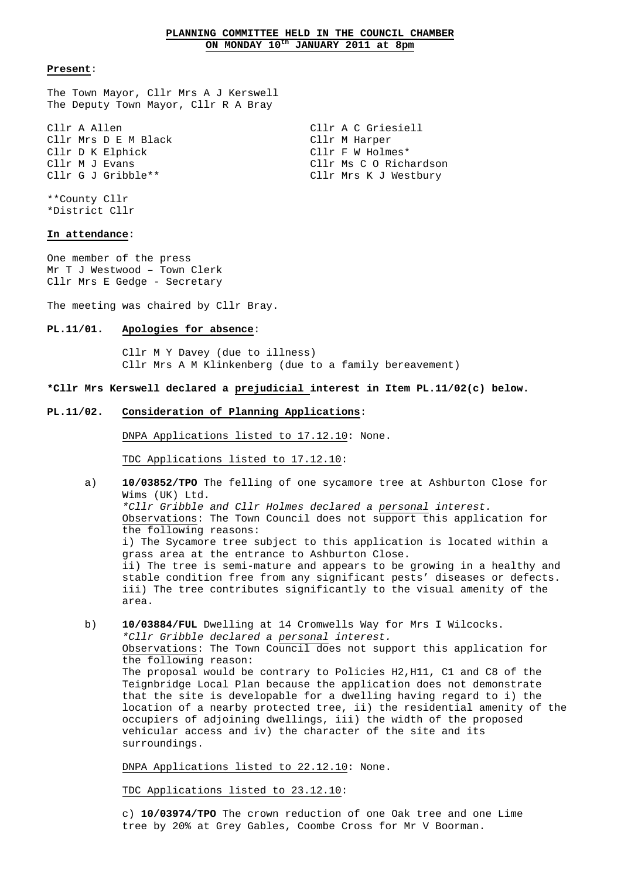# **PLANNING COMMITTEE HELD IN THE COUNCIL CHAMBER ON MONDAY 10th JANUARY 2011 at 8pm**

#### **Present**:

The Town Mayor, Cllr Mrs A J Kerswell The Deputy Town Mayor, Cllr R A Bray

Cllr A Allen Cllr A C Griesiell Cllr Mrs D E M Black Cllr M Harper Cllr D K Elphick Cllr F W Holmes\* Cllr M J Evans The Client Client Construction Client Constants Construction Client Constants Constants Constants Constants Constants Constants Constants Constants Constants Constants Constants Constants Constants Constants Cllr G J Gribble\*\* Cllr Mrs K J Westbury

\*\*County Cllr \*District Cllr

# **In attendance**:

One member of the press Mr T J Westwood – Town Clerk Cllr Mrs E Gedge - Secretary

The meeting was chaired by Cllr Bray.

# **PL.11/01. Apologies for absence**:

 Cllr M Y Davey (due to illness) Cllr Mrs A M Klinkenberg (due to a family bereavement)

# **\*Cllr Mrs Kerswell declared a prejudicial interest in Item PL.11/02(c) below.**

#### **PL.11/02. Consideration of Planning Applications**:

DNPA Applications listed to 17.12.10: None.

TDC Applications listed to 17.12.10:

- a) **10/03852/TPO** The felling of one sycamore tree at Ashburton Close for Wims (UK) Ltd. \*Cllr Gribble and Cllr Holmes declared a personal interest. Observations: The Town Council does not support this application for the following reasons: i) The Sycamore tree subject to this application is located within a grass area at the entrance to Ashburton Close. ii) The tree is semi-mature and appears to be growing in a healthy and stable condition free from any significant pests' diseases or defects. iii) The tree contributes significantly to the visual amenity of the area.
- b) **10/03884/FUL** Dwelling at 14 Cromwells Way for Mrs I Wilcocks.\*Cllr Gribble declared a personal interest. Observations: The Town Council does not support this application for the following reason: The proposal would be contrary to Policies H2,H11, C1 and C8 of the Teignbridge Local Plan because the application does not demonstrate that the site is developable for a dwelling having regard to i) the location of a nearby protected tree, ii) the residential amenity of the occupiers of adjoining dwellings, iii) the width of the proposed vehicular access and iv) the character of the site and its surroundings.

DNPA Applications listed to 22.12.10: None.

TDC Applications listed to 23.12.10:

 c) **10/03974/TPO** The crown reduction of one Oak tree and one Lime tree by 20% at Grey Gables, Coombe Cross for Mr V Boorman.